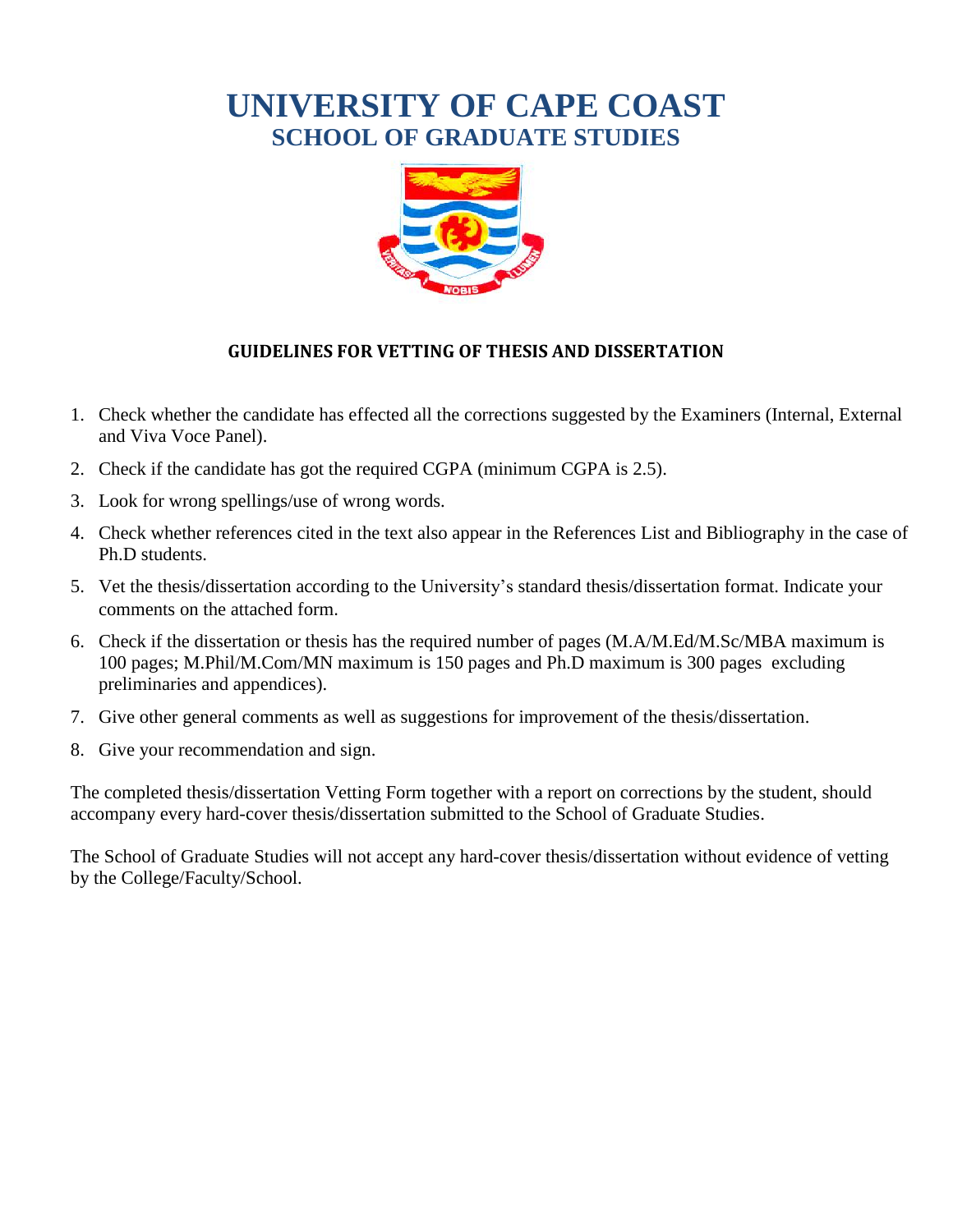# **UNIVERSITY OF CAPE COAST SCHOOL OF GRADUATE STUDIES**



#### **GUIDELINES FOR VETTING OF THESIS AND DISSERTATION**

- 1. Check whether the candidate has effected all the corrections suggested by the Examiners (Internal, External and Viva Voce Panel).
- 2. Check if the candidate has got the required CGPA (minimum CGPA is 2.5).
- 3. Look for wrong spellings/use of wrong words.
- 4. Check whether references cited in the text also appear in the References List and Bibliography in the case of Ph.D students.
- 5. Vet the thesis/dissertation according to the University's standard thesis/dissertation format. Indicate your comments on the attached form.
- 6. Check if the dissertation or thesis has the required number of pages (M.A/M.Ed/M.Sc/MBA maximum is 100 pages; M.Phil/M.Com/MN maximum is 150 pages and Ph.D maximum is 300 pages excluding preliminaries and appendices).
- 7. Give other general comments as well as suggestions for improvement of the thesis/dissertation.
- 8. Give your recommendation and sign.

The completed thesis/dissertation Vetting Form together with a report on corrections by the student, should accompany every hard-cover thesis/dissertation submitted to the School of Graduate Studies.

The School of Graduate Studies will not accept any hard-cover thesis/dissertation without evidence of vetting by the College/Faculty/School.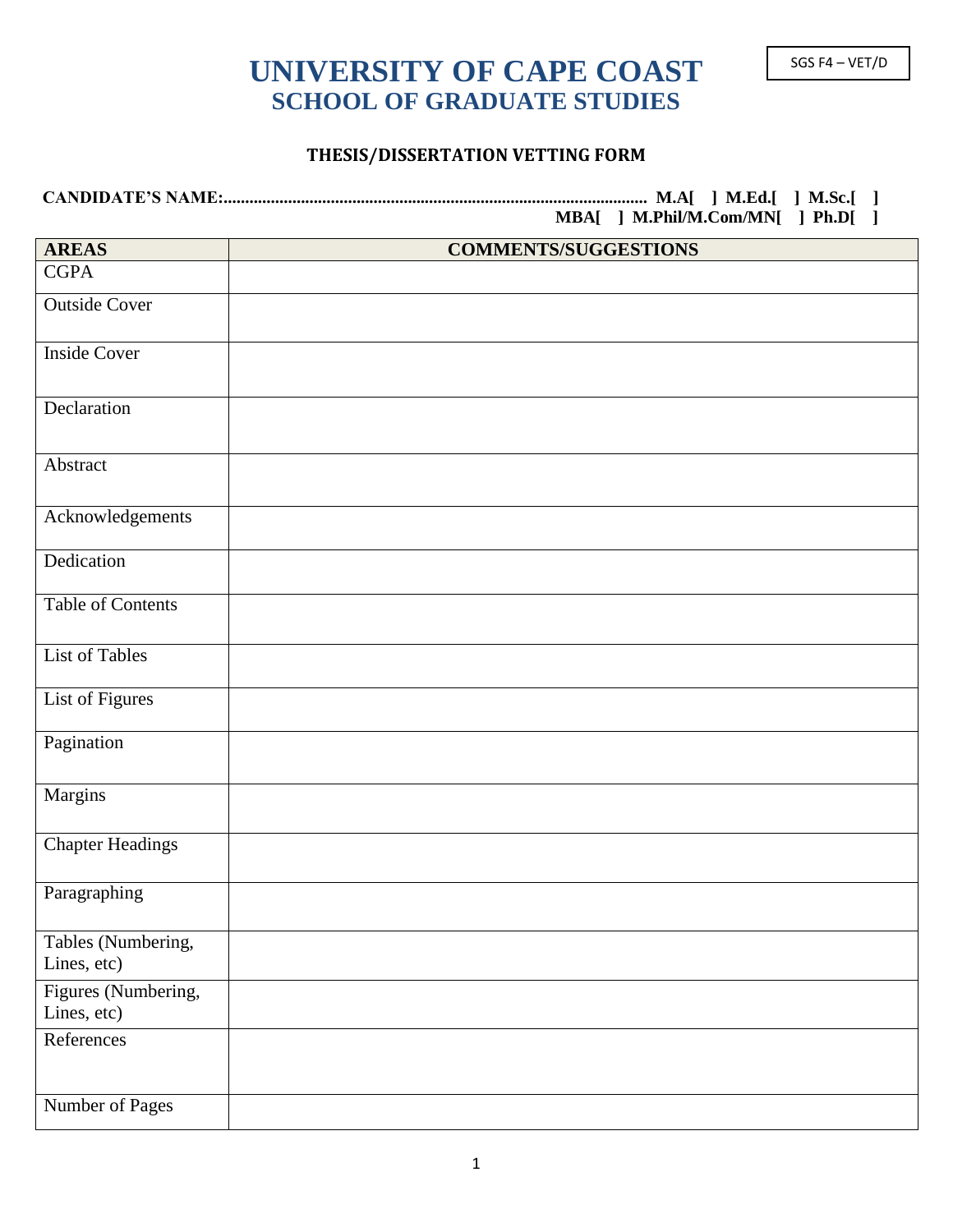## **UNIVERSITY OF CAPE COAST** SGS F4 – VET/D **SCHOOL OF GRADUATE STUDIES**

#### **THESIS/DISSERTATION VETTING FORM**

#### **CANDIDATE'S NAME:................................................................................................... M.A[ ] M.Ed.[ ] M.Sc.[ ] MBA[ ] M.Phil/M.Com/MN[ ] Ph.D[ ]**

| <b>AREAS</b>                       | <b>COMMENTS/SUGGESTIONS</b> |
|------------------------------------|-----------------------------|
| <b>CGPA</b>                        |                             |
| <b>Outside Cover</b>               |                             |
| <b>Inside Cover</b>                |                             |
| Declaration                        |                             |
| Abstract                           |                             |
| Acknowledgements                   |                             |
| Dedication                         |                             |
| <b>Table of Contents</b>           |                             |
| <b>List of Tables</b>              |                             |
| List of Figures                    |                             |
| Pagination                         |                             |
| Margins                            |                             |
| <b>Chapter Headings</b>            |                             |
| Paragraphing                       |                             |
| Tables (Numbering,<br>Lines, etc)  |                             |
| Figures (Numbering,<br>Lines, etc) |                             |
| References                         |                             |
| Number of Pages                    |                             |